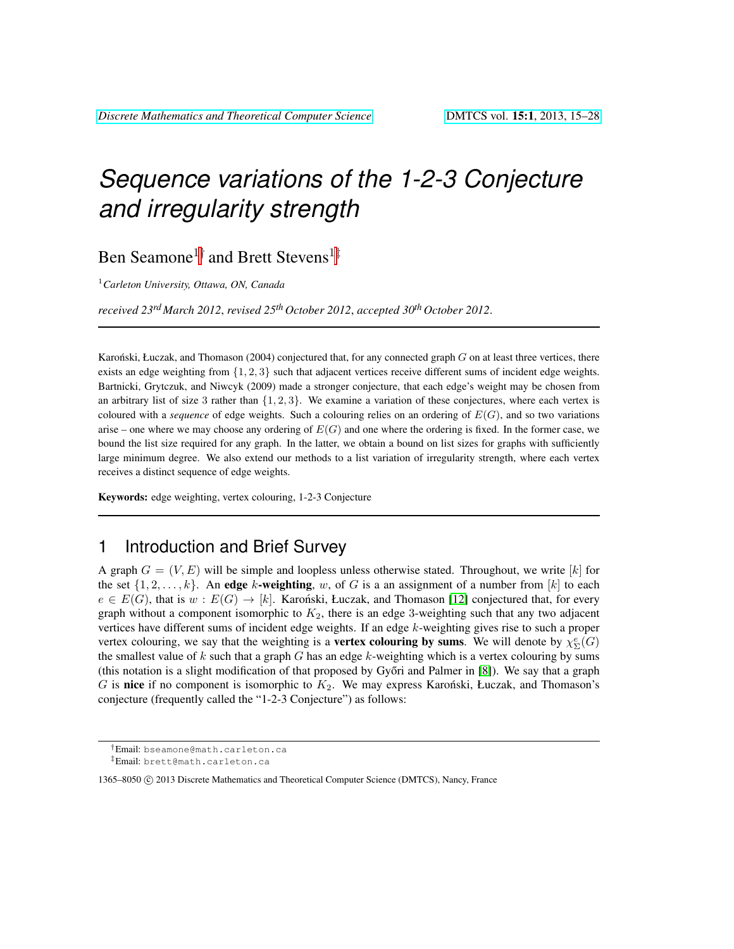# *Sequence variations of the 1-2-3 Conjecture and irregularity strength*

Ben Seamone<sup>1†</sup> and Brett Stevens<sup>1‡</sup>

<sup>1</sup>*Carleton University, Ottawa, ON, Canada*

*received 23rd March 2012*, *revised 25th October 2012*, *accepted 30th October 2012*.

Karonski, Łuczak, and Thomason (2004) conjectured that, for any connected graph  $G$  on at least three vertices, there exists an edge weighting from  $\{1, 2, 3\}$  such that adjacent vertices receive different sums of incident edge weights. Bartnicki, Grytczuk, and Niwcyk (2009) made a stronger conjecture, that each edge's weight may be chosen from an arbitrary list of size 3 rather than  $\{1, 2, 3\}$ . We examine a variation of these conjectures, where each vertex is coloured with a *sequence* of edge weights. Such a colouring relies on an ordering of  $E(G)$ , and so two variations arise – one where we may choose any ordering of  $E(G)$  and one where the ordering is fixed. In the former case, we bound the list size required for any graph. In the latter, we obtain a bound on list sizes for graphs with sufficiently large minimum degree. We also extend our methods to a list variation of irregularity strength, where each vertex receives a distinct sequence of edge weights.

Keywords: edge weighting, vertex colouring, 1-2-3 Conjecture

## 1 Introduction and Brief Survey

A graph  $G = (V, E)$  will be simple and loopless unless otherwise stated. Throughout, we write [k] for the set  $\{1, 2, \ldots, k\}$ . An edge k-weighting, w, of G is a an assignment of a number from [k] to each  $e \in E(G)$ , that is  $w : E(G) \to [k]$ . Karonski, Łuczak, and Thomason [\[12\]](#page-12-0) conjectured that, for every graph without a component isomorphic to  $K_2$ , there is an edge 3-weighting such that any two adjacent vertices have different sums of incident edge weights. If an edge k-weighting gives rise to such a proper vertex colouring, we say that the weighting is a **vertex colouring by sums**. We will denote by  $\chi^e_{\Sigma}(G)$ the smallest value of k such that a graph G has an edge k-weighting which is a vertex colouring by sums (this notation is a slight modification of that proposed by Győri and Palmer in  $[8]$ ). We say that a graph G is nice if no component is isomorphic to  $K_2$ . We may express Karonski, Łuczak, and Thomason's conjecture (frequently called the "1-2-3 Conjecture") as follows:

<sup>†</sup>Email: bseamone@math.carleton.ca

<sup>‡</sup>Email: brett@math.carleton.ca

<sup>1365–8050 © 2013</sup> Discrete Mathematics and Theoretical Computer Science (DMTCS), Nancy, France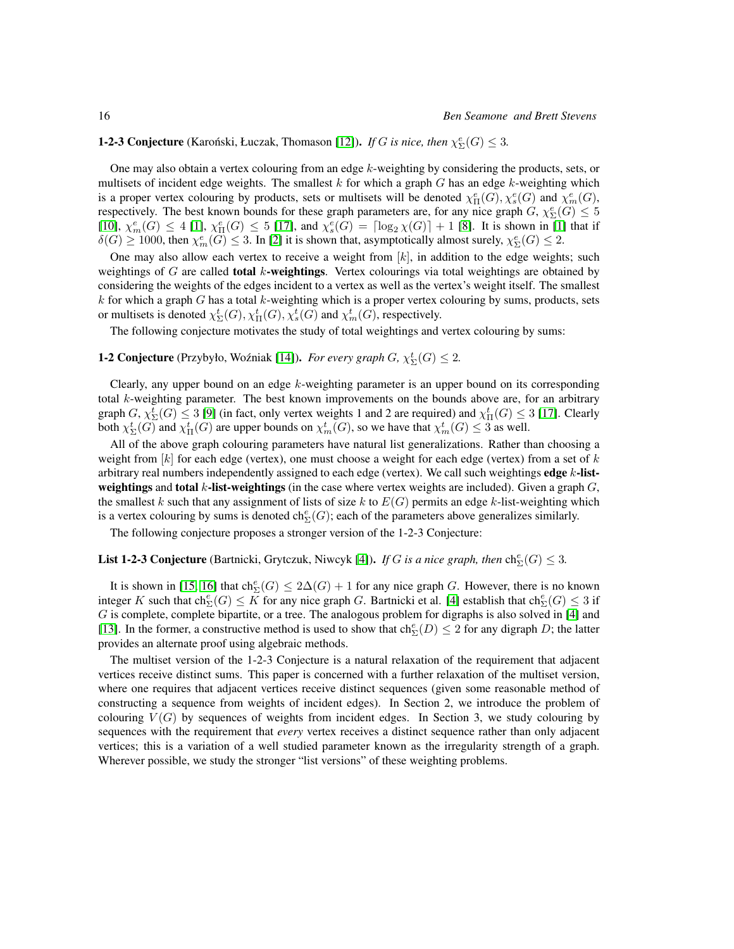#### **1-2-3 Conjecture** (Karoński, Łuczak, Thomason [\[12\]](#page-12-0)). *If G is nice, then*  $\chi_{\Sigma}^e(G) \leq 3$ .

One may also obtain a vertex colouring from an edge  $k$ -weighting by considering the products, sets, or multisets of incident edge weights. The smallest  $k$  for which a graph  $G$  has an edge  $k$ -weighting which is a proper vertex colouring by products, sets or multisets will be denoted  $\chi^e_{\Pi}(G), \chi^e_s(G)$  and  $\chi^e_m(G)$ , respectively. The best known bounds for these graph parameters are, for any nice graph  $G, \chi_{\Sigma}^e(G) \leq 5$  $[10], \chi_m^e(G) \leq 4$  $[10], \chi_m^e(G) \leq 4$  [\[1\]](#page-12-3),  $\chi_{\Pi}^e(G) \leq 5$  [\[17\]](#page-13-0), and  $\chi_s^e(G) = \lceil \log_2 \chi(G) \rceil + 1$  [\[8\]](#page-12-1). It is shown in [1] that if  $\delta(G) \ge 1000$ , then  $\chi^e_m(G) \le 3$ . In [\[2\]](#page-12-4) it is shown that, asymptotically almost surely,  $\chi^e_\Sigma(G) \le 2$ .

One may also allow each vertex to receive a weight from  $[k]$ , in addition to the edge weights; such weightings of  $G$  are called **total** k-weightings. Vertex colourings via total weightings are obtained by considering the weights of the edges incident to a vertex as well as the vertex's weight itself. The smallest  $k$  for which a graph  $G$  has a total  $k$ -weighting which is a proper vertex colouring by sums, products, sets or multisets is denoted  $\chi_{\Sigma}^t(G), \chi_{\Pi}^t(G), \chi_s^t(G)$  and  $\chi_m^t(G)$ , respectively.

The following conjecture motivates the study of total weightings and vertex colouring by sums:

#### **1-2 Conjecture** (Przybyło, Woźniak [\[14\]](#page-12-5)). *For every graph*  $G$ ,  $\chi^t_{\Sigma}(G) \leq 2$ .

Clearly, any upper bound on an edge  $k$ -weighting parameter is an upper bound on its corresponding total k-weighting parameter. The best known improvements on the bounds above are, for an arbitrary graph  $G$ ,  $\chi_{\Sigma}^t(G) \leq 3$  [\[9\]](#page-12-6) (in fact, only vertex weights 1 and 2 are required) and  $\chi_{\Pi}^t(G) \leq 3$  [\[17\]](#page-13-0). Clearly both  $\chi_{\Sigma}^t(G)$  and  $\chi_{\Pi}^t(G)$  are upper bounds on  $\chi_m^t(G)$ , so we have that  $\chi_m^t(G) \leq 3$  as well.

All of the above graph colouring parameters have natural list generalizations. Rather than choosing a weight from  $[k]$  for each edge (vertex), one must choose a weight for each edge (vertex) from a set of k arbitrary real numbers independently assigned to each edge (vertex). We call such weightings edge  $k$ -listweightings and total k-list-weightings (in the case where vertex weights are included). Given a graph  $G$ , the smallest k such that any assignment of lists of size k to  $E(G)$  permits an edge k-list-weighting which is a vertex colouring by sums is denoted  $ch_{\Sigma}^e(G)$ ; each of the parameters above generalizes similarly.

The following conjecture proposes a stronger version of the 1-2-3 Conjecture:

### **List 1-2-3 Conjecture** (Bartnicki, Grytczuk, Niwcyk [\[4\]](#page-12-7)). *If G is a nice graph, then*  $\text{ch}^e_{\Sigma}(G) \leq 3$ .

It is shown in [\[15,](#page-12-8) [16\]](#page-12-9) that  $ch_{\Sigma}^e(G) \leq 2\Delta(G) + 1$  for any nice graph G. However, there is no known integer K such that  $ch_{\Sigma}^e(G) \le K$  for any nice graph G. Bartnicki et al. [\[4\]](#page-12-7) establish that  $ch_{\Sigma}^e(G) \le 3$  if G is complete, complete bipartite, or a tree. The analogous problem for digraphs is also solved in [\[4\]](#page-12-7) and [\[13\]](#page-12-10). In the former, a constructive method is used to show that  $\text{ch}^e_{\Sigma}(D) \leq 2$  for any digraph D; the latter provides an alternate proof using algebraic methods.

The multiset version of the 1-2-3 Conjecture is a natural relaxation of the requirement that adjacent vertices receive distinct sums. This paper is concerned with a further relaxation of the multiset version, where one requires that adjacent vertices receive distinct sequences (given some reasonable method of constructing a sequence from weights of incident edges). In Section 2, we introduce the problem of colouring  $V(G)$  by sequences of weights from incident edges. In Section 3, we study colouring by sequences with the requirement that *every* vertex receives a distinct sequence rather than only adjacent vertices; this is a variation of a well studied parameter known as the irregularity strength of a graph. Wherever possible, we study the stronger "list versions" of these weighting problems.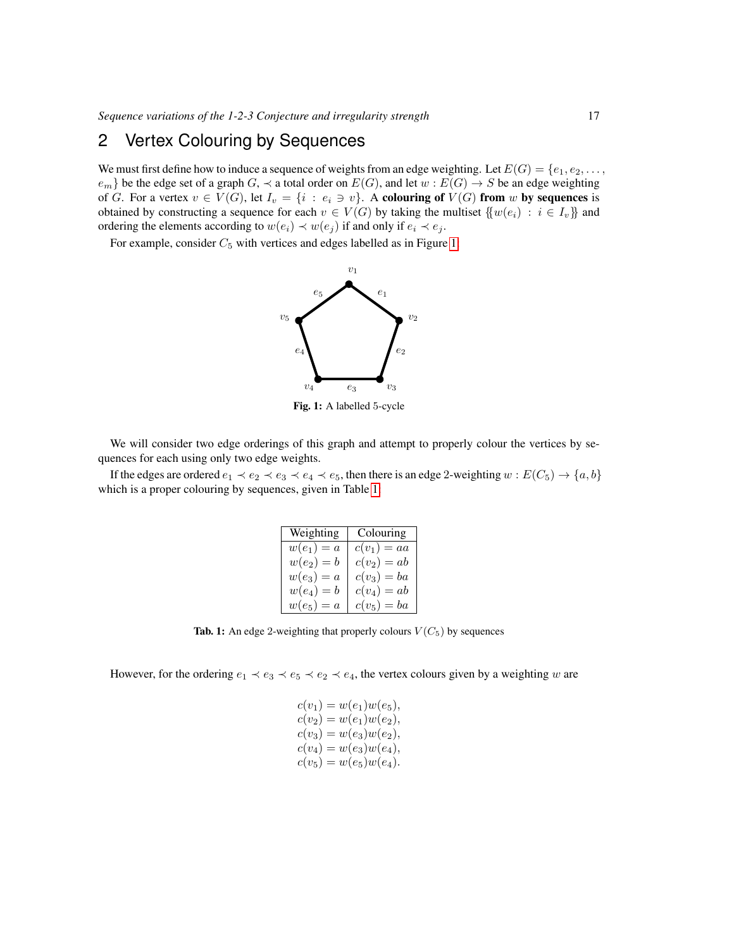# 2 Vertex Colouring by Sequences

We must first define how to induce a sequence of weights from an edge weighting. Let  $E(G) = \{e_1, e_2, \ldots, e_n\}$  $e_m$ } be the edge set of a graph  $G$ ,  $\prec$  a total order on  $E(G)$ , and let  $w : E(G) \to S$  be an edge weighting of G. For a vertex  $v \in V(G)$ , let  $I_v = \{i : e_i \ni v\}$ . A colouring of  $V(G)$  from w by sequences is obtained by constructing a sequence for each  $v \in V(G)$  by taking the multiset  $\{w(e_i) : i \in I_v\}$  and ordering the elements according to  $w(e_i) \prec w(e_j)$  if and only if  $e_i \prec e_j$ .

For example, consider  $C_5$  with vertices and edges labelled as in Figure [1:](#page-2-0)



<span id="page-2-0"></span>Fig. 1: A labelled 5-cycle

We will consider two edge orderings of this graph and attempt to properly colour the vertices by sequences for each using only two edge weights.

If the edges are ordered  $e_1 \prec e_2 \prec e_3 \prec e_4 \prec e_5$ , then there is an edge 2-weighting  $w : E(C_5) \to \{a, b\}$ which is a proper colouring by sequences, given in Table [1:](#page-2-1)

| Weighting    | Colouring     |
|--------------|---------------|
| $w(e_1)=a$   | $c(v_1)=aa$   |
| $w(e_2) = b$ | $c(v_2)=ab$   |
| $w(e_3)=a$   | $c(v_3) = ba$ |
| $w(e_4)=b$   | $c(v_4)=ab$   |
| $w(e_5)=a$   | $c(v_5) = ba$ |

<span id="page-2-1"></span>**Tab. 1:** An edge 2-weighting that properly colours  $V(C_5)$  by sequences

However, for the ordering  $e_1 \prec e_3 \prec e_5 \prec e_2 \prec e_4$ , the vertex colours given by a weighting w are

$$
c(v_1) = w(e_1)w(e_5),c(v_2) = w(e_1)w(e_2),c(v_3) = w(e_3)w(e_2),c(v_4) = w(e_3)w(e_4),c(v_5) = w(e_5)w(e_4).
$$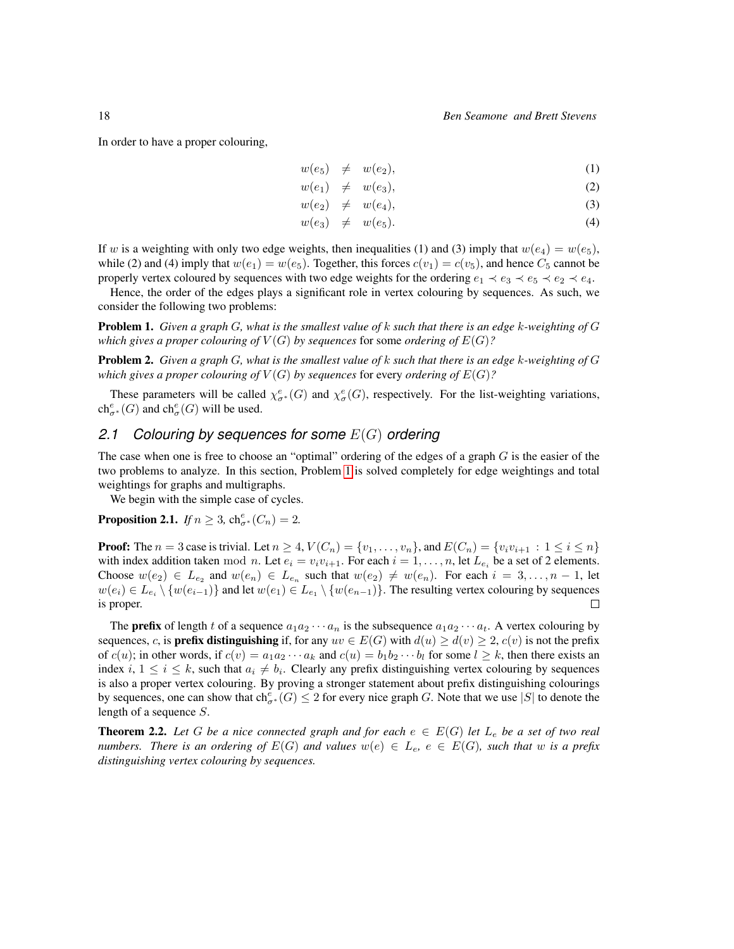In order to have a proper colouring,

$$
w(e_5) \neq w(e_2), \tag{1}
$$

$$
w(e_1) \neq w(e_3), \tag{2}
$$

$$
w(e_2) \neq w(e_4), \tag{3}
$$

$$
w(e_3) \neq w(e_5). \tag{4}
$$

If w is a weighting with only two edge weights, then inequalities (1) and (3) imply that  $w(e_4) = w(e_5)$ , while (2) and (4) imply that  $w(e_1) = w(e_5)$ . Together, this forces  $c(v_1) = c(v_5)$ , and hence  $C_5$  cannot be properly vertex coloured by sequences with two edge weights for the ordering  $e_1 \prec e_3 \prec e_5 \prec e_2 \prec e_4$ .

Hence, the order of the edges plays a significant role in vertex colouring by sequences. As such, we consider the following two problems:

<span id="page-3-0"></span>Problem 1. *Given a graph* G*, what is the smallest value of* k *such that there is an edge* k*-weighting of* G *which gives a proper colouring of*  $V(G)$  *by sequences* for some *ordering of*  $E(G)$ *?* 

<span id="page-3-3"></span>Problem 2. *Given a graph* G*, what is the smallest value of* k *such that there is an edge* k*-weighting of* G *which gives a proper colouring of*  $V(G)$  *by sequences* for every *ordering of*  $E(G)$ *?* 

These parameters will be called  $\chi^e_{\sigma^*}(G)$  and  $\chi^e_{\sigma}(G)$ , respectively. For the list-weighting variations,  $ch_{\sigma^*}^e(G)$  and  $ch_{\sigma}^e(G)$  will be used.

#### *2.1 Colouring by sequences for some* E(G) *ordering*

The case when one is free to choose an "optimal" ordering of the edges of a graph  $G$  is the easier of the two problems to analyze. In this section, Problem [1](#page-3-0) is solved completely for edge weightings and total weightings for graphs and multigraphs.

We begin with the simple case of cycles.

<span id="page-3-1"></span>**Proposition 2.1.** *If*  $n \geq 3$ ,  $\text{ch}_{\sigma^*}^e(C_n) = 2$ .

**Proof:** The  $n = 3$  case is trivial. Let  $n \geq 4$ ,  $V(C_n) = \{v_1, \ldots, v_n\}$ , and  $E(C_n) = \{v_i v_{i+1} : 1 \leq i \leq n\}$ with index addition taken mod *n*. Let  $e_i = v_i v_{i+1}$ . For each  $i = 1, ..., n$ , let  $L_{e_i}$  be a set of 2 elements. Choose  $w(e_2) \in L_{e_2}$  and  $w(e_n) \in L_{e_n}$  such that  $w(e_2) \neq w(e_n)$ . For each  $i = 3, \ldots, n-1$ , let  $w(e_i) \in L_{e_i} \setminus \{w(e_{i-1})\}$  and let  $w(e_1) \in L_{e_1} \setminus \{w(e_{n-1})\}$ . The resulting vertex colouring by sequences is proper.  $\Box$ 

The **prefix** of length t of a sequence  $a_1a_2 \cdots a_n$  is the subsequence  $a_1a_2 \cdots a_t$ . A vertex colouring by sequences, c, is **prefix distinguishing** if, for any  $uv \in E(G)$  with  $d(u) \geq d(v) \geq 2$ ,  $c(v)$  is not the prefix of  $c(u)$ ; in other words, if  $c(v) = a_1 a_2 \cdots a_k$  and  $c(u) = b_1 b_2 \cdots b_l$  for some  $l \geq k$ , then there exists an index i,  $1 \le i \le k$ , such that  $a_i \ne b_i$ . Clearly any prefix distinguishing vertex colouring by sequences is also a proper vertex colouring. By proving a stronger statement about prefix distinguishing colourings by sequences, one can show that  $ch_{\sigma^*}^e(G) \leq 2$  for every nice graph G. Note that we use  $|S|$  to denote the length of a sequence S.

<span id="page-3-2"></span>**Theorem 2.2.** Let G be a nice connected graph and for each  $e \in E(G)$  let  $L_e$  be a set of two real *numbers. There is an ordering of*  $E(G)$  *and values*  $w(e) \in L_e$ ,  $e \in E(G)$ *, such that* w *is a prefix distinguishing vertex colouring by sequences.*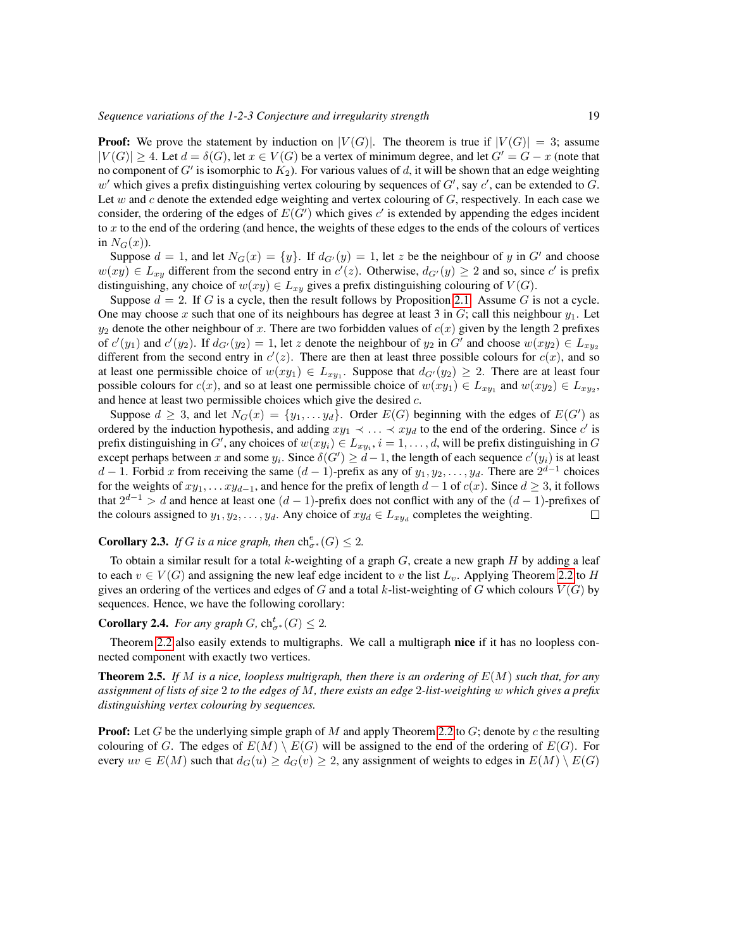**Proof:** We prove the statement by induction on  $|V(G)|$ . The theorem is true if  $|V(G)| = 3$ ; assume  $|V(G)| \geq 4$ . Let  $d = \delta(G)$ , let  $x \in V(G)$  be a vertex of minimum degree, and let  $G' = G - x$  (note that no component of  $G'$  is isomorphic to  $K_2$ ). For various values of d, it will be shown that an edge weighting  $w'$  which gives a prefix distinguishing vertex colouring by sequences of  $G'$ , say  $c'$ , can be extended to  $G$ . Let w and c denote the extended edge weighting and vertex colouring of  $G$ , respectively. In each case we consider, the ordering of the edges of  $E(G')$  which gives  $c'$  is extended by appending the edges incident to x to the end of the ordering (and hence, the weights of these edges to the ends of the colours of vertices in  $N_G(x)$ ).

Suppose  $d = 1$ , and let  $N_G(x) = \{y\}$ . If  $d_{G'}(y) = 1$ , let z be the neighbour of y in G' and choose  $w(xy) \in L_{xy}$  different from the second entry in  $c'(z)$ . Otherwise,  $d_{G'}(y) \ge 2$  and so, since  $c'$  is prefix distinguishing, any choice of  $w(xy) \in L_{xy}$  gives a prefix distinguishing colouring of  $V(G)$ .

Suppose  $d = 2$ . If G is a cycle, then the result follows by Proposition [2.1.](#page-3-1) Assume G is not a cycle. One may choose x such that one of its neighbours has degree at least 3 in  $G$ ; call this neighbour  $y_1$ . Let  $y_2$  denote the other neighbour of x. There are two forbidden values of  $c(x)$  given by the length 2 prefixes of  $c'(y_1)$  and  $c'(y_2)$ . If  $d_{G'}(y_2) = 1$ , let z denote the neighbour of  $y_2$  in  $G'$  and choose  $w(xy_2) \in L_{xy_2}$ different from the second entry in  $c'(z)$ . There are then at least three possible colours for  $c(x)$ , and so at least one permissible choice of  $w(xy_1) \in L_{xy_1}$ . Suppose that  $d_{G'}(y_2) \geq 2$ . There are at least four possible colours for  $c(x)$ , and so at least one permissible choice of  $w(xy_1) \in L_{xy_1}$  and  $w(xy_2) \in L_{xy_2}$ , and hence at least two permissible choices which give the desired c.

Suppose  $d \geq 3$ , and let  $N_G(x) = \{y_1, \ldots y_d\}$ . Order  $E(G)$  beginning with the edges of  $E(G')$  as ordered by the induction hypothesis, and adding  $xy_1 \prec \ldots \prec xy_d$  to the end of the ordering. Since  $c'$  is prefix distinguishing in G', any choices of  $w(xy_i) \in L_{xy_i}$ ,  $i = 1, \ldots, d$ , will be prefix distinguishing in G except perhaps between x and some  $y_i$ . Since  $\delta(G') \geq d-1$ , the length of each sequence  $c'(y_i)$  is at least d − 1. Forbid x from receiving the same  $(d-1)$ -prefix as any of  $y_1, y_2, \ldots, y_d$ . There are  $2^{d-1}$  choices for the weights of  $xy_1, \ldots xy_{d-1}$ , and hence for the prefix of length  $d-1$  of  $c(x)$ . Since  $d \geq 3$ , it follows that  $2^{d-1} > d$  and hence at least one  $(d-1)$ -prefix does not conflict with any of the  $(d-1)$ -prefixes of the colours assigned to  $y_1, y_2, \dots, y_d$ . Any choice of  $xy_d \in L_{xy_d}$  completes the weighting.  $\Box$ 

### **Corollary 2.3.** *If* G *is a nice graph, then*  $\mathrm{ch}^e_{\sigma^*}(G) \leq 2$ *.*

To obtain a similar result for a total k-weighting of a graph  $G$ , create a new graph  $H$  by adding a leaf to each  $v \in V(G)$  and assigning the new leaf edge incident to v the list  $L_v$ . Applying Theorem [2.2](#page-3-2) to H gives an ordering of the vertices and edges of G and a total k-list-weighting of G which colours  $V(G)$  by sequences. Hence, we have the following corollary:

### <span id="page-4-0"></span>**Corollary 2.4.** *For any graph G*,  $\text{ch}_{\sigma^*}^t(G) \leq 2$ *.*

Theorem [2.2](#page-3-2) also easily extends to multigraphs. We call a multigraph nice if it has no loopless connected component with exactly two vertices.

Theorem 2.5. *If* M *is a nice, loopless multigraph, then there is an ordering of* E(M) *such that, for any assignment of lists of size* 2 *to the edges of* M*, there exists an edge* 2*-list-weighting* w *which gives a prefix distinguishing vertex colouring by sequences.*

**Proof:** Let G be the underlying simple graph of M and apply Theorem [2.2](#page-3-2) to G; denote by c the resulting colouring of G. The edges of  $E(M) \setminus E(G)$  will be assigned to the end of the ordering of  $E(G)$ . For every  $uv \in E(M)$  such that  $d_G(u) \geq d_G(v) \geq 2$ , any assignment of weights to edges in  $E(M) \setminus E(G)$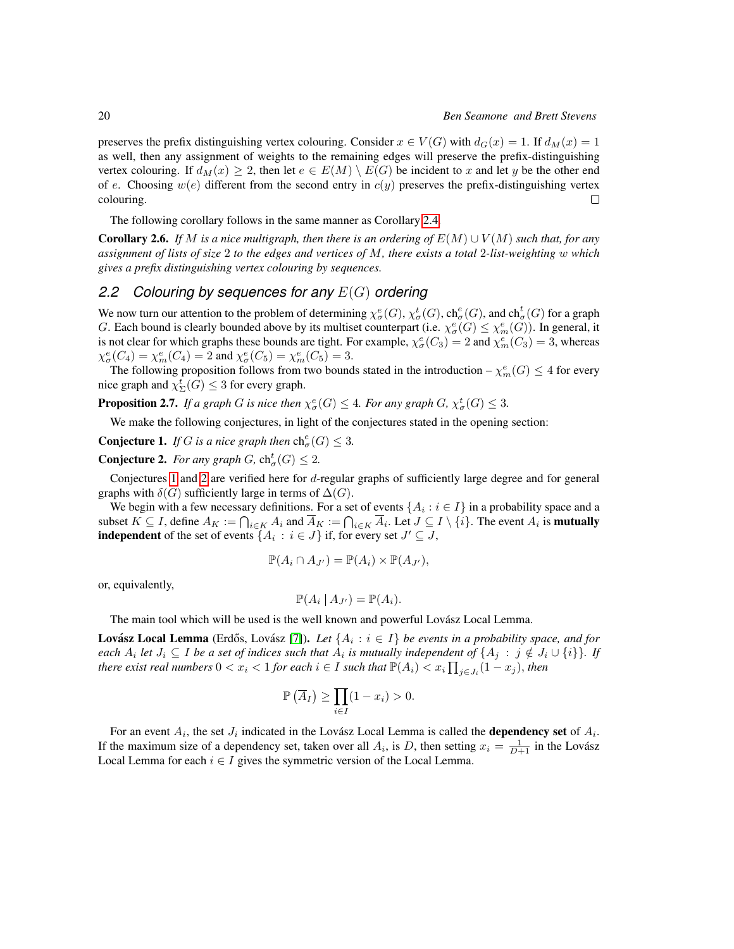preserves the prefix distinguishing vertex colouring. Consider  $x \in V(G)$  with  $d_G(x) = 1$ . If  $d_M(x) = 1$ as well, then any assignment of weights to the remaining edges will preserve the prefix-distinguishing vertex colouring. If  $d_M(x) \geq 2$ , then let  $e \in E(M) \setminus E(G)$  be incident to x and let y be the other end of e. Choosing  $w(e)$  different from the second entry in  $c(y)$  preserves the prefix-distinguishing vertex colouring.  $\Box$ 

The following corollary follows in the same manner as Corollary [2.4.](#page-4-0)

**Corollary 2.6.** *If* M is a nice multigraph, then there is an ordering of  $E(M) \cup V(M)$  *such that, for any assignment of lists of size* 2 *to the edges and vertices of* M*, there exists a total* 2*-list-weighting* w *which gives a prefix distinguishing vertex colouring by sequences.*

#### *2.2 Colouring by sequences for any* E(G) *ordering*

We now turn our attention to the problem of determining  $\chi^e_\sigma(G)$ ,  $\chi^t_\sigma(G)$ ,  $\text{ch}^e_\sigma(G)$ , and  $\text{ch}^t_\sigma(G)$  for a graph G. Each bound is clearly bounded above by its multiset counterpart (i.e.  $\chi^e_\sigma(G) \leq \chi^e_m(G)$ ). In general, it is not clear for which graphs these bounds are tight. For example,  $\chi^e_\sigma(C_3) = 2$  and  $\chi^e_m(C_3) = 3$ , whereas  $\chi^e_{\sigma}(C_4) = \chi^e_m(C_4) = 2$  and  $\chi^e_{\sigma}(C_5) = \chi^e_m(C_5) = 3$ .

The following proposition follows from two bounds stated in the introduction  $-\chi_m^e(G) \leq 4$  for every nice graph and  $\chi_{\Sigma}^{t}(G) \leq 3$  for every graph.

**Proposition 2.7.** If a graph G is nice then  $\chi^e_{\sigma}(G) \leq 4$ . For any graph G,  $\chi^t_{\sigma}(G) \leq 3$ .

We make the following conjectures, in light of the conjectures stated in the opening section:

<span id="page-5-0"></span>**Conjecture 1.** *If G is a nice graph then*  $\mathrm{ch}^e_{\sigma}(G) \leq 3$ *.* 

<span id="page-5-1"></span>**Conjecture 2.** For any graph  $G$ ,  $\text{ch}^t_\sigma(G) \leq 2$ .

Conjectures [1](#page-5-0) and [2](#page-5-1) are verified here for d-regular graphs of sufficiently large degree and for general graphs with  $\delta(G)$  sufficiently large in terms of  $\Delta(G)$ .

We begin with a few necessary definitions. For a set of events  $\{A_i : i \in I\}$  in a probability space and a subset  $K \subseteq I$ , define  $A_K := \bigcap_{i \in K} A_i$  and  $\overline{A}_K := \bigcap_{i \in K} \overline{A}_i$ . Let  $J \subseteq I \setminus \{i\}$ . The event  $A_i$  is **mutually independent** of the set of events  $\{A_i : i \in J\}$  if, for every set  $J' \subseteq J$ ,

$$
\mathbb{P}(A_i \cap A_{J'}) = \mathbb{P}(A_i) \times \mathbb{P}(A_{J'}),
$$

or, equivalently,

$$
\mathbb{P}(A_i | A_{J'}) = \mathbb{P}(A_i).
$$

The main tool which will be used is the well known and powerful Lovász Local Lemma.

**Lovász Local Lemma** (Erdős, Lovász [\[7\]](#page-12-11)). Let  $\{A_i : i \in I\}$  be events in a probability space, and for each  $A_i$  let  $J_i \subseteq I$  be a set of indices such that  $A_i$  is mutually independent of  $\{A_j\;:\;j\notin J_i\cup\{i\}\}$ . If *there exist real numbers*  $0 < x_i < 1$  *for each*  $i \in I$  *such that*  $\mathbb{P}(A_i) < x_i \prod_{j \in J_i} (1-x_j)$ *, then* 

$$
\mathbb{P}\left(\overline{A}_I\right) \ge \prod_{i \in I} (1 - x_i) > 0.
$$

For an event  $A_i$ , the set  $J_i$  indicated in the Lovász Local Lemma is called the **dependency set** of  $A_i$ . If the maximum size of a dependency set, taken over all  $A_i$ , is D, then setting  $x_i = \frac{1}{D+1}$  in the Lovász Local Lemma for each  $i \in I$  gives the symmetric version of the Local Lemma.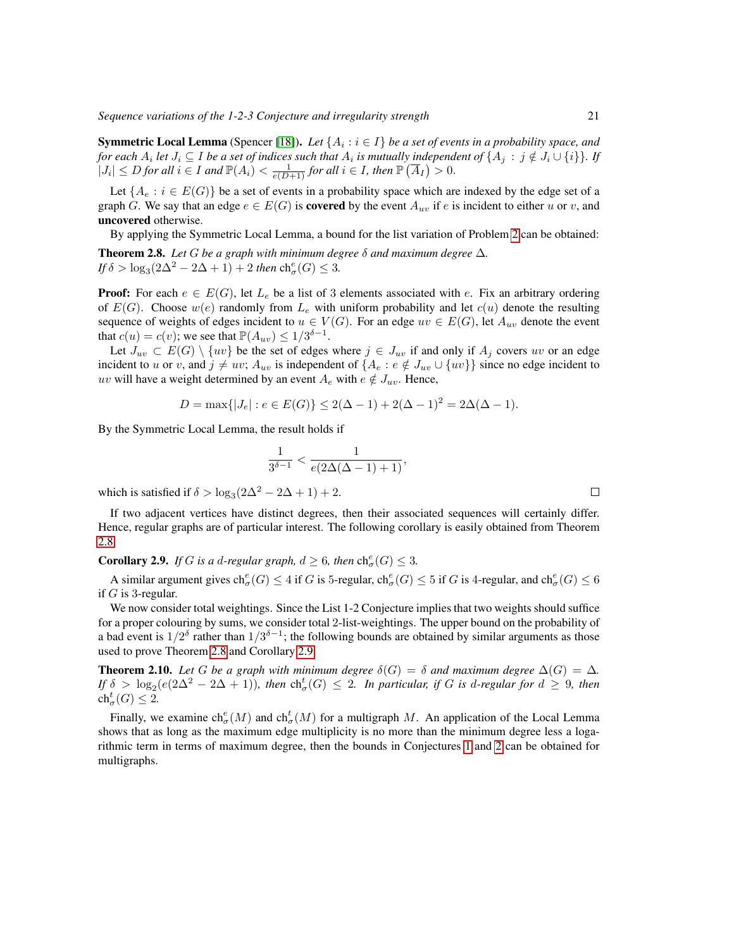*Sequence variations of the 1-2-3 Conjecture and irregularity strength* 21

**Symmetric Local Lemma** (Spencer [\[18\]](#page-13-1)). Let  $\{A_i : i \in I\}$  be a set of events in a probability space, and *for each*  $A_i$  *let*  $J_i \subseteq I$  *be a set of indices such that*  $A_i$  *is mutually independent of*  $\{A_j : j \notin J_i \cup \{i\}\}$ *. If*  $|J_i| \leq D$  *for all*  $i \in I$  *and*  $\mathbb{P}(A_i) < \frac{1}{e(D+1)}$  *for all*  $i \in I$ *, then*  $\mathbb{P}(\overline{A}_I) > 0$ *.* 

Let  $\{A_e : i \in E(G)\}\$  be a set of events in a probability space which are indexed by the edge set of a graph G. We say that an edge  $e \in E(G)$  is **covered** by the event  $A_{uv}$  if e is incident to either u or v, and uncovered otherwise.

<span id="page-6-0"></span>By applying the Symmetric Local Lemma, a bound for the list variation of Problem [2](#page-3-3) can be obtained: **Theorem 2.8.** *Let* G *be a graph with minimum degree*  $\delta$  *and maximum degree*  $\Delta$ *. If*  $\delta > \log_3(2\Delta^2 - 2\Delta + 1) + 2$  *then*  $\text{ch}^e_{\sigma}(G) \leq 3$ *.* 

**Proof:** For each  $e \in E(G)$ , let  $L_e$  be a list of 3 elements associated with e. Fix an arbitrary ordering of  $E(G)$ . Choose  $w(e)$  randomly from  $L_e$  with uniform probability and let  $c(u)$  denote the resulting sequence of weights of edges incident to  $u \in V(G)$ . For an edge  $uv \in E(G)$ , let  $A_{uv}$  denote the event that  $c(u) = c(v)$ ; we see that  $\mathbb{P}(A_{uv}) \leq 1/3^{\delta-1}$ .

Let  $J_{uv} \subset E(G) \setminus \{uv\}$  be the set of edges where  $j \in J_{uv}$  if and only if  $A_j$  covers uv or an edge incident to u or v, and  $j \neq uv$ ;  $A_{uv}$  is independent of  $\{A_e : e \notin J_{uv} \cup \{uv\}\}\$  since no edge incident to uv will have a weight determined by an event  $A_e$  with  $e \notin J_{uv}$ . Hence,

$$
D = \max\{|J_e| : e \in E(G)\} \le 2(\Delta - 1) + 2(\Delta - 1)^2 = 2\Delta(\Delta - 1).
$$

By the Symmetric Local Lemma, the result holds if

$$
\frac{1}{3^{\delta-1}}<\frac{1}{e(2\Delta(\Delta-1)+1)},
$$

which is satisfied if  $\delta > \log_3(2\Delta^2 - 2\Delta + 1) + 2$ .

If two adjacent vertices have distinct degrees, then their associated sequences will certainly differ. Hence, regular graphs are of particular interest. The following corollary is easily obtained from Theorem [2.8.](#page-6-0)

<span id="page-6-1"></span>**Corollary 2.9.** *If G is a d-regular graph,*  $d \geq 6$ *, then*  $\text{ch}_{\sigma}^e(G) \leq 3$ *.* 

A similar argument gives  $ch^e_\sigma(G) \leq 4$  if G is 5-regular,  $ch^e_\sigma(G) \leq 5$  if G is 4-regular, and  $ch^e_\sigma(G) \leq 6$ if  $G$  is 3-regular.

We now consider total weightings. Since the List 1-2 Conjecture implies that two weights should suffice for a proper colouring by sums, we consider total 2-list-weightings. The upper bound on the probability of a bad event is  $1/2^{\delta}$  rather than  $1/3^{\delta-1}$ ; the following bounds are obtained by similar arguments as those used to prove Theorem [2.8](#page-6-0) and Corollary [2.9.](#page-6-1)

**Theorem 2.10.** Let G be a graph with minimum degree  $\delta(G) = \delta$  and maximum degree  $\Delta(G) = \Delta$ . *If*  $\delta > \log_2(e(2\Delta^2 - 2\Delta + 1))$ , then  $\text{ch}^t_\sigma(G) \leq 2$ . In particular, if G is d-regular for  $d \geq 9$ , then  $ch^t_\sigma(G) \leq 2.$ 

<span id="page-6-2"></span>Finally, we examine  $ch^e_{\sigma}(M)$  and  $ch^t_{\sigma}(M)$  for a multigraph M. An application of the Local Lemma shows that as long as the maximum edge multiplicity is no more than the minimum degree less a logarithmic term in terms of maximum degree, then the bounds in Conjectures [1](#page-5-0) and [2](#page-5-1) can be obtained for multigraphs.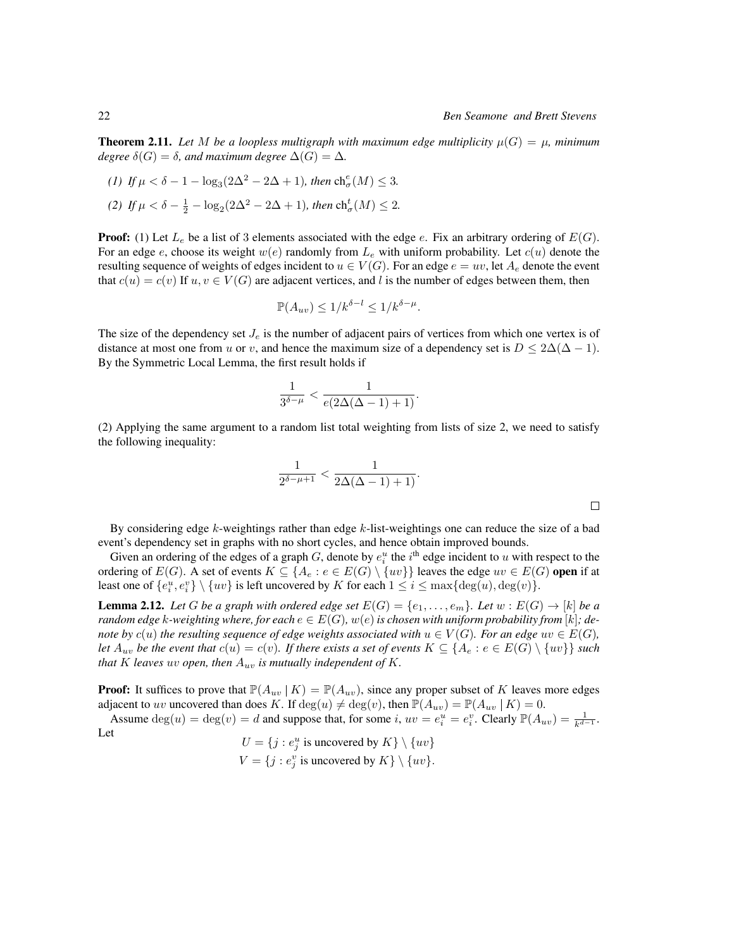$\Box$ 

**Theorem 2.11.** Let M be a loopless multigraph with maximum edge multiplicity  $\mu(G) = \mu$ , minimum *degree*  $\delta(G) = \delta$ *, and maximum degree*  $\Delta(G) = \Delta$ *.* 

*(1) If*  $\mu < \delta - 1 - \log_3(2\Delta^2 - 2\Delta + 1)$ *, then* ch<sup>e</sup><sub>σ</sub>(*M*) ≤ 3*. (2) If*  $\mu < \delta - \frac{1}{2} - \log_2(2\Delta^2 - 2\Delta + 1)$ *, then*  $\text{ch}^t_{\sigma}(M) \leq 2$ *.* 

**Proof:** (1) Let  $L_e$  be a list of 3 elements associated with the edge e. Fix an arbitrary ordering of  $E(G)$ . For an edge e, choose its weight  $w(e)$  randomly from  $L_e$  with uniform probability. Let  $c(u)$  denote the resulting sequence of weights of edges incident to  $u \in V(G)$ . For an edge  $e = uv$ , let  $A_e$  denote the event that  $c(u) = c(v)$  If  $u, v \in V(G)$  are adjacent vertices, and l is the number of edges between them, then

$$
\mathbb{P}(A_{uv}) \le 1/k^{\delta - l} \le 1/k^{\delta - \mu}.
$$

The size of the dependency set  $J_e$  is the number of adjacent pairs of vertices from which one vertex is of distance at most one from u or v, and hence the maximum size of a dependency set is  $D \leq 2\Delta(\Delta - 1)$ . By the Symmetric Local Lemma, the first result holds if

$$
\frac{1}{3^{\delta-\mu}} < \frac{1}{e(2\Delta(\Delta-1)+1)}.
$$

(2) Applying the same argument to a random list total weighting from lists of size 2, we need to satisfy the following inequality:

$$
\frac{1}{2^{\delta-\mu+1}} < \frac{1}{2\Delta(\Delta-1)+1)}.
$$

By considering edge  $k$ -weightings rather than edge  $k$ -list-weightings one can reduce the size of a bad event's dependency set in graphs with no short cycles, and hence obtain improved bounds.

Given an ordering of the edges of a graph G, denote by  $e_i^u$  the  $i^{\text{th}}$  edge incident to u with respect to the ordering of  $E(G)$ . A set of events  $K \subseteq \{A_e : e \in E(G) \setminus \{uv\}\}$  leaves the edge  $uv \in E(G)$  open if at least one of  $\{e_i^u, e_i^v\} \setminus \{uv\}$  is left uncovered by K for each  $1 \leq i \leq \max\{\deg(u), \deg(v)\}.$ 

<span id="page-7-0"></span>**Lemma 2.12.** Let G be a graph with ordered edge set  $E(G) = \{e_1, \ldots, e_m\}$ . Let  $w : E(G) \rightarrow [k]$  be a *random edge* k-weighting where, for each  $e \in E(G)$ ,  $w(e)$  is chosen with uniform probability from [k]; de*note by*  $c(u)$  *the resulting sequence of edge weights associated with*  $u \in V(G)$ *. For an edge*  $uv \in E(G)$ *, let*  $A_{uv}$  *be the event that*  $c(u) = c(v)$ *. If there exists a set of events*  $K \subseteq \{A_e : e \in E(G) \setminus \{uv\}\}\$ *such that* K leaves uv open, then  $A_{uv}$  *is mutually independent of* K.

**Proof:** It suffices to prove that  $\mathbb{P}(A_{uv} | K) = \mathbb{P}(A_{uv})$ , since any proper subset of K leaves more edges adjacent to uv uncovered than does K. If  $\deg(u) \neq \deg(v)$ , then  $\mathbb{P}(A_{uv}) = \mathbb{P}(A_{uv} | K) = 0$ .

Assume  $\deg(u) = \deg(v) = d$  and suppose that, for some i,  $uv = e_i^u = e_i^v$ . Clearly  $\mathbb{P}(A_{uv}) = \frac{1}{k^{d-1}}$ . Let

$$
U = \{j : e_j^u \text{ is uncovered by } K\} \setminus \{uv\}
$$
  

$$
V = \{j : e_j^v \text{ is uncovered by } K\} \setminus \{uv\}.
$$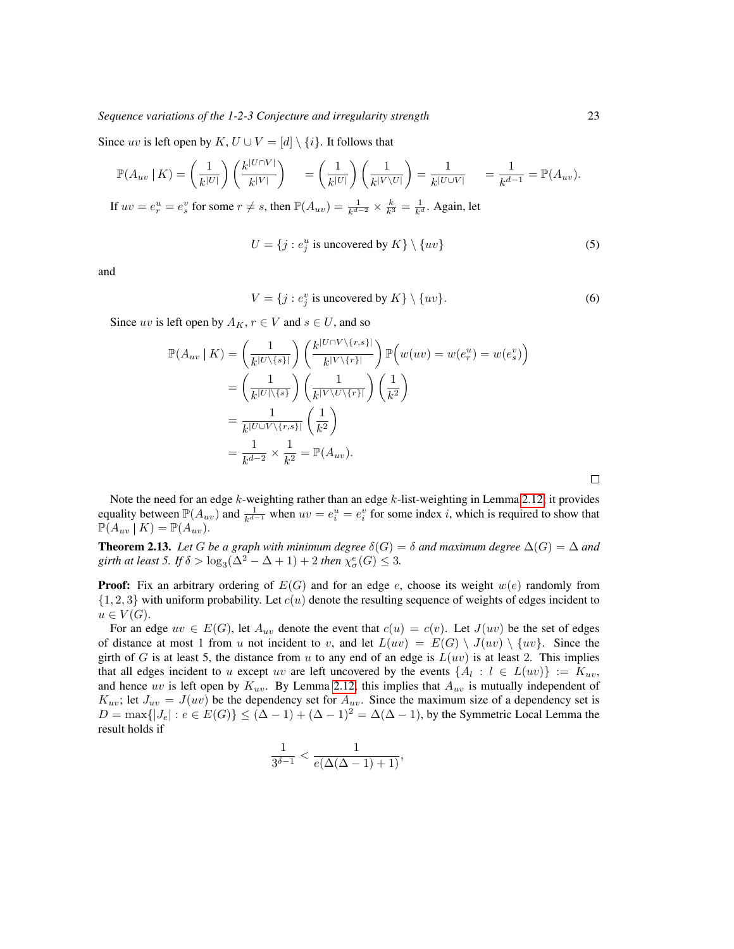*Sequence variations of the 1-2-3 Conjecture and irregularity strength* 23

Since uv is left open by K,  $U \cup V = [d] \setminus \{i\}$ . It follows that

$$
\mathbb{P}(A_{uv} \mid K) = \left(\frac{1}{k^{|U|}}\right) \left(\frac{k^{|U \cap V|}}{k^{|V|}}\right) = \left(\frac{1}{k^{|U|}}\right) \left(\frac{1}{k^{|V \setminus U|}}\right) = \frac{1}{k^{|U \cup V|}} = \frac{1}{k^{d-1}} = \mathbb{P}(A_{uv}).
$$

If  $uv = e_r^u = e_s^v$  for some  $r \neq s$ , then  $\mathbb{P}(A_{uv}) = \frac{1}{k^{d-2}} \times \frac{k}{k^3} = \frac{1}{k^d}$ . Again, let

$$
U = \{j : e_j^u \text{ is uncovered by } K\} \setminus \{uv\}
$$
 (5)

and

$$
V = \{j : e_j^v \text{ is uncovered by } K\} \setminus \{uv\}. \tag{6}
$$

Since uv is left open by  $A_K$ ,  $r \in V$  and  $s \in U$ , and so

$$
\mathbb{P}(A_{uv} \mid K) = \left(\frac{1}{k^{|U \setminus \{s\}|}}\right) \left(\frac{k^{|U \cap V \setminus \{r,s\}|}}{k^{|V \setminus \{r\}|}}\right) \mathbb{P}\left(w(uv) = w(e_r^u) = w(e_s^v)\right)
$$

$$
= \left(\frac{1}{k^{|U| \setminus \{s\}}}\right) \left(\frac{1}{k^{|V \setminus V \setminus \{r\}|}}\right) \left(\frac{1}{k^2}\right)
$$

$$
= \frac{1}{k^{|U \cup V \setminus \{r,s\}|}} \left(\frac{1}{k^2}\right)
$$

$$
= \frac{1}{k^{d-2}} \times \frac{1}{k^2} = \mathbb{P}(A_{uv}).
$$

Note the need for an edge  $k$ -weighting rather than an edge  $k$ -list-weighting in Lemma [2.12;](#page-7-0) it provides equality between  $\mathbb{P}(A_{uv})$  and  $\frac{1}{k^{d-1}}$  when  $uv = e_i^u = e_i^v$  for some index *i*, which is required to show that  $\mathbb{P}(A_{uv} | K) = \mathbb{P}(A_{uv}).$ 

<span id="page-8-0"></span>**Theorem 2.13.** Let G be a graph with minimum degree  $\delta(G) = \delta$  and maximum degree  $\Delta(G) = \Delta$  and girth at least 5. If  $\delta > \log_3(\Delta^2 - \Delta + 1) + 2$  then  $\chi^e_\sigma(G) \leq 3$ .

**Proof:** Fix an arbitrary ordering of  $E(G)$  and for an edge e, choose its weight  $w(e)$  randomly from  $\{1, 2, 3\}$  with uniform probability. Let  $c(u)$  denote the resulting sequence of weights of edges incident to  $u \in V(G)$ .

For an edge  $uv \in E(G)$ , let  $A_{uv}$  denote the event that  $c(u) = c(v)$ . Let  $J(uv)$  be the set of edges of distance at most 1 from u not incident to v, and let  $L(uv) = E(G) \setminus J(uv) \setminus \{uv\}$ . Since the girth of G is at least 5, the distance from u to any end of an edge is  $L(uv)$  is at least 2. This implies that all edges incident to u except uv are left uncovered by the events  $\{A_l : l \in L(uv)\} := K_{uv}$ , and hence uv is left open by  $K_{uv}$ . By Lemma [2.12,](#page-7-0) this implies that  $A_{uv}$  is mutually independent of  $K_{uv}$ ; let  $J_{uv} = J(uv)$  be the dependency set for  $A_{uv}$ . Since the maximum size of a dependency set is  $D = \max\{|J_e| : e \in E(G)\} \leq (\Delta - 1) + (\Delta - 1)^2 = \Delta(\Delta - 1)$ , by the Symmetric Local Lemma the result holds if

$$
\frac{1}{3^{\delta-1}} < \frac{1}{e(\Delta(\Delta-1)+1)},
$$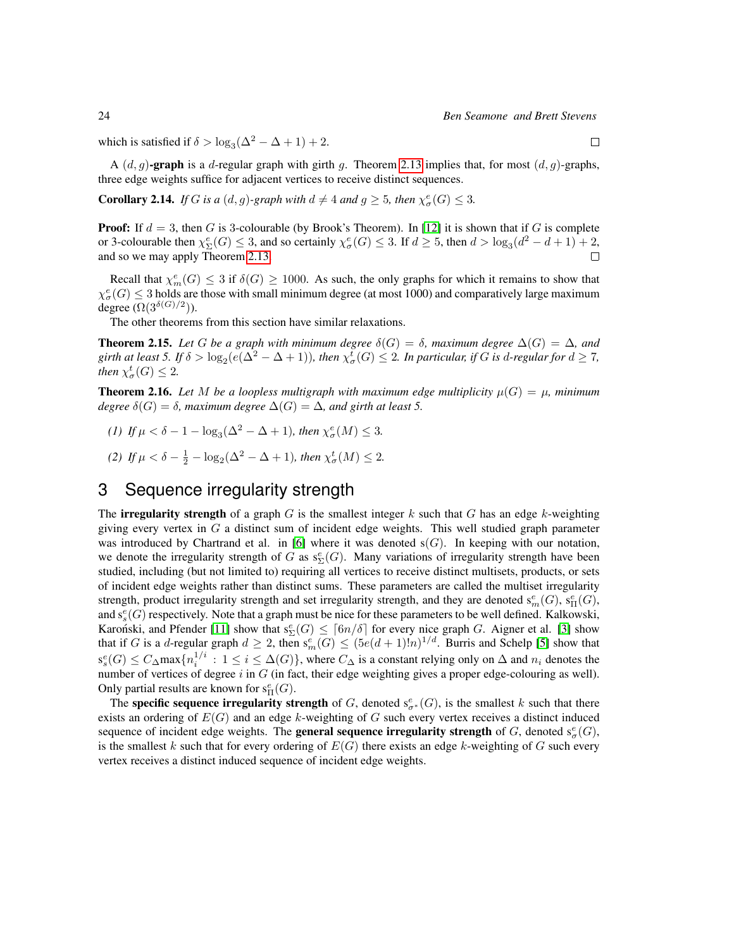which is satisfied if  $\delta > \log_3(\Delta^2 - \Delta + 1) + 2$ .

A  $(d, g)$ -graph is a d-regular graph with girth g. Theorem [2.13](#page-8-0) implies that, for most  $(d, g)$ -graphs, three edge weights suffice for adjacent vertices to receive distinct sequences.

**Corollary 2.14.** *If G is a* (*d*, *g*)-*graph with*  $d \neq 4$  *and*  $g \geq 5$ *, then*  $\chi^e_{\sigma}(G) \leq 3$ *.* 

**Proof:** If  $d = 3$ , then G is 3-colourable (by Brook's Theorem). In [\[12\]](#page-12-0) it is shown that if G is complete or 3-colourable then  $\chi_{\Sigma}^e(G) \leq 3$ , and so certainly  $\chi_{\sigma}^e(G) \leq 3$ . If  $d \geq 5$ , then  $d > \log_3(d^2 - d + 1) + 2$ , and so we may apply Theorem [2.13.](#page-8-0)  $\Box$ 

Recall that  $\chi_m^e(G) \leq 3$  if  $\delta(G) \geq 1000$ . As such, the only graphs for which it remains to show that  $\chi^e_\sigma(G) \leq 3$  holds are those with small minimum degree (at most 1000) and comparatively large maximum degree  $(\Omega(3^{\delta(G)/2}))$ .

The other theorems from this section have similar relaxations.

**Theorem 2.15.** Let G be a graph with minimum degree  $\delta(G) = \delta$ , maximum degree  $\Delta(G) = \Delta$ , and girth at least 5. If  $\delta > \log_2(e(\Delta^2 - \Delta + 1))$ , then  $\chi^t_\sigma(G) \leq 2$ . In particular, if G is d-regular for  $d \geq 7$ , *then*  $\chi^t_\sigma(G) \leq 2$ .

**Theorem 2.16.** Let M be a loopless multigraph with maximum edge multiplicity  $\mu(G) = \mu$ , minimum *degree*  $\delta(G) = \delta$ *, maximum degree*  $\Delta(G) = \Delta$ *, and girth at least 5.* 

- *(1) If*  $\mu < \delta 1 \log_3(\Delta^2 \Delta + 1)$ *, then*  $\chi^e_{\sigma}(M) \leq 3$ *.*
- (2) If  $\mu < \delta \frac{1}{2} \log_2(\Delta^2 \Delta + 1)$ , then  $\chi^t_\sigma(M) \leq 2$ .

# 3 Sequence irregularity strength

The **irregularity strength** of a graph G is the smallest integer k such that G has an edge k-weighting giving every vertex in  $G$  a distinct sum of incident edge weights. This well studied graph parameter was introduced by Chartrand et al. in [\[6\]](#page-12-12) where it was denoted  $s(G)$ . In keeping with our notation, we denote the irregularity strength of G as  $s_{\Sigma}^e(G)$ . Many variations of irregularity strength have been studied, including (but not limited to) requiring all vertices to receive distinct multisets, products, or sets of incident edge weights rather than distinct sums. These parameters are called the multiset irregularity strength, product irregularity strength and set irregularity strength, and they are denoted  $s_m^e(G)$ ,  $s_H^e(G)$ , and  $s_s^e(G)$  respectively. Note that a graph must be nice for these parameters to be well defined. Kalkowski, Karonski, and Pfender [\[11\]](#page-12-13) show that  $s_{\Sigma}^e(G) \leq \lceil 6n/\delta \rceil$  for every nice graph G. Aigner et al. [\[3\]](#page-12-14) show that if G is a d-regular graph  $d \geq 2$ , then  $s_m^e(G) \leq (5e(d+1)!n)^{1/d}$ . Burris and Schelp [\[5\]](#page-12-15) show that  $s_s^e(G) \leq C_\Delta$ max $\{n_i^{1/i} : 1 \leq i \leq \Delta(G)\}\$ , where  $C_\Delta$  is a constant relying only on  $\Delta$  and  $n_i$  denotes the number of vertices of degree  $i$  in  $G$  (in fact, their edge weighting gives a proper edge-colouring as well). Only partial results are known for  $s^e_H(G)$ .

The specific sequence irregularity strength of G, denoted  $s^e_{\sigma^*}(G)$ , is the smallest k such that there exists an ordering of  $E(G)$  and an edge k-weighting of G such every vertex receives a distinct induced sequence of incident edge weights. The **general sequence irregularity strength** of G, denoted  $s^e_{\sigma}(G)$ , is the smallest k such that for every ordering of  $E(G)$  there exists an edge k-weighting of G such every vertex receives a distinct induced sequence of incident edge weights.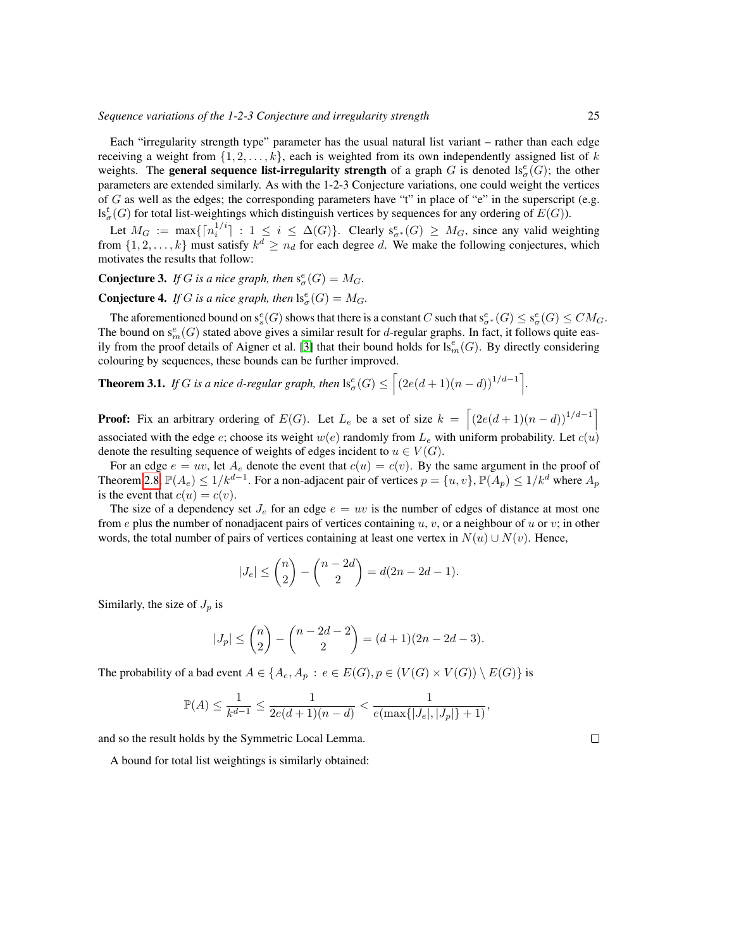Each "irregularity strength type" parameter has the usual natural list variant – rather than each edge receiving a weight from  $\{1, 2, \ldots, k\}$ , each is weighted from its own independently assigned list of k weights. The **general sequence list-irregularity strength** of a graph G is denoted  $ls^e_{\sigma}(G)$ ; the other parameters are extended similarly. As with the 1-2-3 Conjecture variations, one could weight the vertices of G as well as the edges; the corresponding parameters have "t" in place of "e" in the superscript (e.g.  $\text{ls}_{\sigma}^{t}(G)$  for total list-weightings which distinguish vertices by sequences for any ordering of  $E(G)$ ).

Let  $M_G := \max\{\lceil n_i^{1/i} \rceil : 1 \leq i \leq \Delta(G)\}\$ . Clearly  $s_{\sigma^*}^e(G) \geq M_G$ , since any valid weighting from  $\{1, 2, \ldots, k\}$  must satisfy  $k^d \geq n_d$  for each degree d. We make the following conjectures, which motivates the results that follow:

#### **Conjecture 3.** *If G is a nice graph, then*  $s^e_{\sigma}(G) = M_G$ .

**Conjecture 4.** *If G is a nice graph, then*  $\text{ls}_\sigma^e(G) = M_G$ .

The aforementioned bound on  $s_s^e(G)$  shows that there is a constant  $C$  such that  $s_{\sigma^*}^e(G)\leq s_\sigma^e(G)\leq CM_G.$ The bound on  $s_m^e(G)$  stated above gives a similar result for d-regular graphs. In fact, it follows quite eas-ily from the proof details of Aigner et al. [\[3\]](#page-12-14) that their bound holds for  $ls<sub>m</sub><sup>e</sup>(G)$ . By directly considering colouring by sequences, these bounds can be further improved.

**Theorem 3.1.** *If* G *is a nice d-regular graph, then*  $\text{ls}_{\sigma}^e(G) \leq \left[ (2e(d+1)(n-d))^{1/d-1} \right]$ .

**Proof:** Fix an arbitrary ordering of  $E(G)$ . Let  $L_e$  be a set of size  $k = \left[ (2e(d+1)(n-d))^{1/(d-1)} \right]$ associated with the edge e; choose its weight  $w(e)$  randomly from  $L_e$  with uniform probability. Let  $c(u)$ denote the resulting sequence of weights of edges incident to  $u \in V(G)$ .

For an edge  $e = uv$ , let  $A_e$  denote the event that  $c(u) = c(v)$ . By the same argument in the proof of Theorem [2.8,](#page-6-0)  $\mathbb{P}(A_e) \le 1/k^{d-1}$ . For a non-adjacent pair of vertices  $p = \{u, v\}$ ,  $\mathbb{P}(A_p) \le 1/k^d$  where  $A_p$ is the event that  $c(u) = c(v)$ .

The size of a dependency set  $J_e$  for an edge  $e = uv$  is the number of edges of distance at most one from e plus the number of nonadjacent pairs of vertices containing u, v, or a neighbour of u or v; in other words, the total number of pairs of vertices containing at least one vertex in  $N(u) \cup N(v)$ . Hence,

$$
|J_e| \le \binom{n}{2} - \binom{n-2d}{2} = d(2n - 2d - 1).
$$

Similarly, the size of  $J_p$  is

$$
|J_p| \le \binom{n}{2} - \binom{n-2d-2}{2} = (d+1)(2n-2d-3).
$$

The probability of a bad event  $A \in \{A_e, A_p : e \in E(G), p \in (V(G) \times V(G)) \setminus E(G)\}$  is

$$
\mathbb{P}(A) \le \frac{1}{k^{d-1}} \le \frac{1}{2e(d+1)(n-d)} < \frac{1}{e(\max\{|J_e|, |J_p|\}+1)},
$$

and so the result holds by the Symmetric Local Lemma.

A bound for total list weightings is similarly obtained: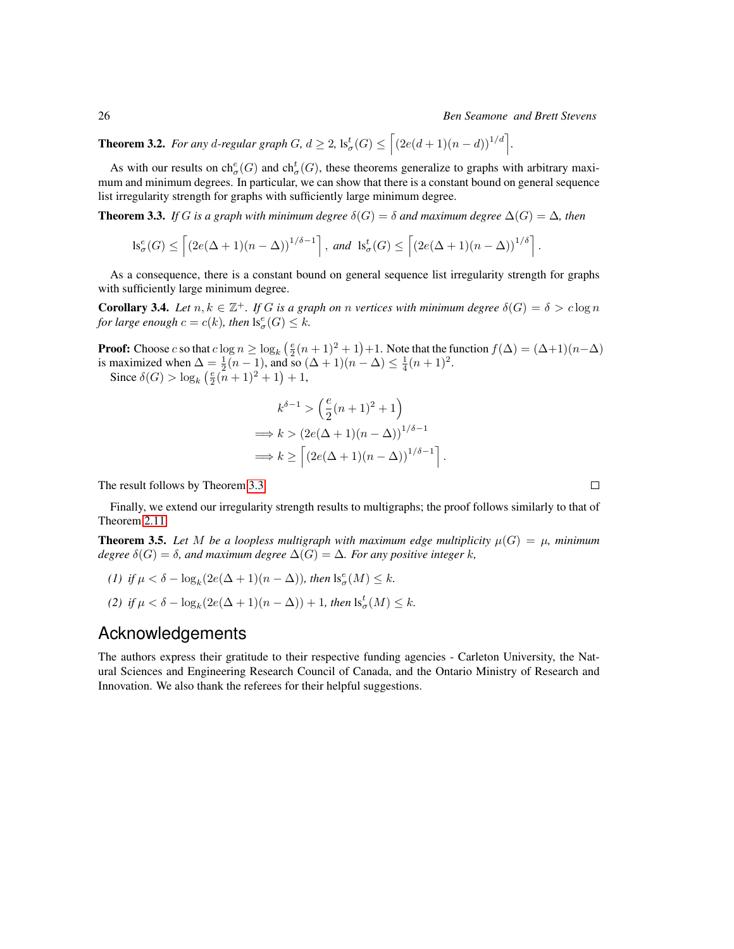#### 26 *Ben Seamone and Brett Stevens*

**Theorem 3.2.** For any d-regular graph G,  $d \geq 2$ ,  $1s^t_\sigma(G) \leq \left[ (2e(d+1)(n-d))^{1/d} \right]$ .

As with our results on  $ch_{\sigma}^e(G)$  and  $ch_{\sigma}^t(G)$ , these theorems generalize to graphs with arbitrary maximum and minimum degrees. In particular, we can show that there is a constant bound on general sequence list irregularity strength for graphs with sufficiently large minimum degree.

<span id="page-11-0"></span>**Theorem 3.3.** *If* G is a graph with minimum degree  $\delta(G) = \delta$  and maximum degree  $\Delta(G) = \Delta$ , then

$$
\mathrm{ls}_{\sigma}^{e}(G) \leq \left[ \left( 2e(\Delta + 1)(n - \Delta) \right)^{1/\delta - 1} \right], \text{ and } \mathrm{ls}_{\sigma}^{t}(G) \leq \left[ \left( 2e(\Delta + 1)(n - \Delta) \right)^{1/\delta} \right].
$$

As a consequence, there is a constant bound on general sequence list irregularity strength for graphs with sufficiently large minimum degree.

**Corollary 3.4.** Let  $n, k \in \mathbb{Z}^+$ . If G is a graph on n vertices with minimum degree  $\delta(G) = \delta > c \log n$ *for large enough*  $c = c(k)$ *, then*  $\text{Is}_{\sigma}^{e}(G) \leq k$ *.* 

**Proof:** Choose c so that  $c \log n \ge \log_k(\frac{e}{2}(n+1)^2 + 1) + 1$ . Note that the function  $f(\Delta) = (\Delta+1)(n-\Delta)$ is maximized when  $\Delta = \frac{1}{2}(n-1)$ , and so  $(\Delta + 1)(n - \Delta) \leq \frac{1}{4}(n+1)^2$ .

Since  $\delta(G) > \log_k(\frac{e}{2}(n+1)^2 + 1) + 1$ ,

$$
k^{\delta - 1} > \left(\frac{e}{2}(n+1)^2 + 1\right)
$$
  
\n
$$
\implies k > \left(2e(\Delta + 1)(n - \Delta)\right)^{1/\delta - 1}
$$
  
\n
$$
\implies k \ge \left[\left(2e(\Delta + 1)(n - \Delta)\right)^{1/\delta - 1}\right]
$$

.

The result follows by Theorem [3.3.](#page-11-0)

Finally, we extend our irregularity strength results to multigraphs; the proof follows similarly to that of Theorem [2.11.](#page-6-2)

**Theorem 3.5.** Let M be a loopless multigraph with maximum edge multiplicity  $\mu(G) = \mu$ , minimum *degree*  $\delta(G) = \delta$ *, and maximum degree*  $\Delta(G) = \Delta$ *. For any positive integer k,* 

- (1) if  $\mu < \delta \log_k(2e(\Delta + 1)(n \Delta))$ , then  $\text{ls}_{\sigma}^e(M) \leq k$ .
- *(2) if*  $\mu < \delta \log_k(2e(\Delta + 1)(n \Delta)) + 1$ *, then*  $\mathrm{ls}_{\sigma}^{t}(M) \leq k$ *.*

## Acknowledgements

The authors express their gratitude to their respective funding agencies - Carleton University, the Natural Sciences and Engineering Research Council of Canada, and the Ontario Ministry of Research and Innovation. We also thank the referees for their helpful suggestions.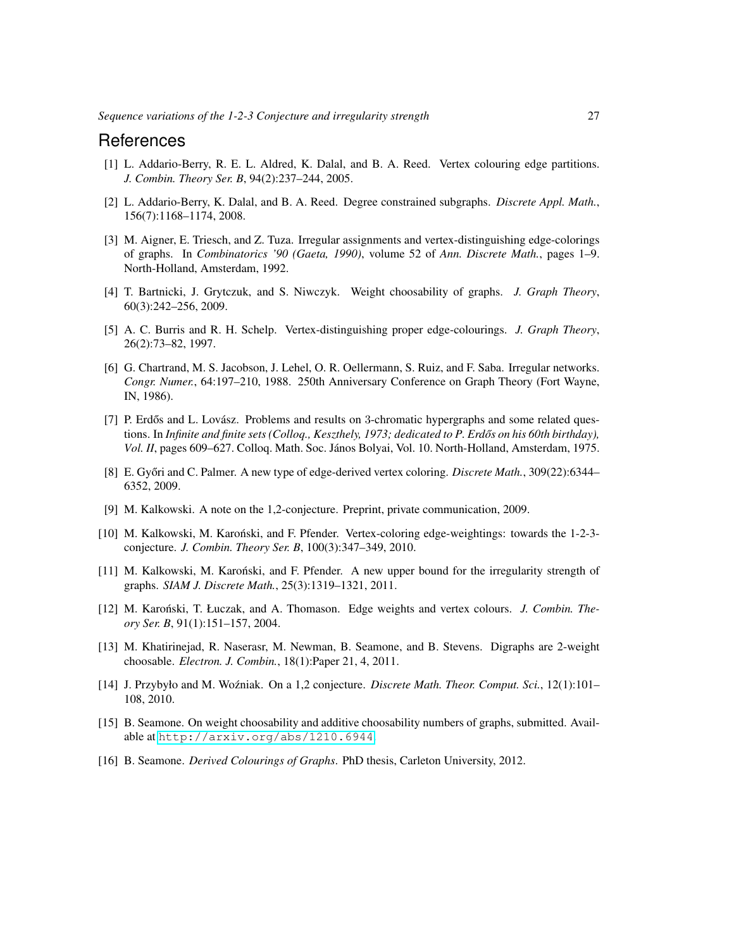#### References

- <span id="page-12-3"></span>[1] L. Addario-Berry, R. E. L. Aldred, K. Dalal, and B. A. Reed. Vertex colouring edge partitions. *J. Combin. Theory Ser. B*, 94(2):237–244, 2005.
- <span id="page-12-4"></span>[2] L. Addario-Berry, K. Dalal, and B. A. Reed. Degree constrained subgraphs. *Discrete Appl. Math.*, 156(7):1168–1174, 2008.
- <span id="page-12-14"></span>[3] M. Aigner, E. Triesch, and Z. Tuza. Irregular assignments and vertex-distinguishing edge-colorings of graphs. In *Combinatorics '90 (Gaeta, 1990)*, volume 52 of *Ann. Discrete Math.*, pages 1–9. North-Holland, Amsterdam, 1992.
- <span id="page-12-7"></span>[4] T. Bartnicki, J. Grytczuk, and S. Niwczyk. Weight choosability of graphs. *J. Graph Theory*, 60(3):242–256, 2009.
- <span id="page-12-15"></span>[5] A. C. Burris and R. H. Schelp. Vertex-distinguishing proper edge-colourings. *J. Graph Theory*, 26(2):73–82, 1997.
- <span id="page-12-12"></span>[6] G. Chartrand, M. S. Jacobson, J. Lehel, O. R. Oellermann, S. Ruiz, and F. Saba. Irregular networks. *Congr. Numer.*, 64:197–210, 1988. 250th Anniversary Conference on Graph Theory (Fort Wayne, IN, 1986).
- <span id="page-12-11"></span>[7] P. Erdős and L. Lovász. Problems and results on 3-chromatic hypergraphs and some related questions. In *Infinite and finite sets (Colloq., Keszthely, 1973; dedicated to P. Erdős on his 60th birthday)*, Vol. II, pages 609–627. Colloq. Math. Soc. János Bolyai, Vol. 10. North-Holland, Amsterdam, 1975.
- <span id="page-12-1"></span>[8] E. Győri and C. Palmer. A new type of edge-derived vertex coloring. *Discrete Math.*, 309(22):6344– 6352, 2009.
- <span id="page-12-6"></span>[9] M. Kalkowski. A note on the 1,2-conjecture. Preprint, private communication, 2009.
- <span id="page-12-2"></span>[10] M. Kalkowski, M. Karoński, and F. Pfender. Vertex-coloring edge-weightings: towards the 1-2-3conjecture. *J. Combin. Theory Ser. B*, 100(3):347–349, 2010.
- <span id="page-12-13"></span>[11] M. Kalkowski, M. Karoński, and F. Pfender. A new upper bound for the irregularity strength of graphs. *SIAM J. Discrete Math.*, 25(3):1319–1321, 2011.
- <span id="page-12-0"></span>[12] M. Karoński, T. Łuczak, and A. Thomason. Edge weights and vertex colours. *J. Combin. Theory Ser. B*, 91(1):151–157, 2004.
- <span id="page-12-10"></span>[13] M. Khatirinejad, R. Naserasr, M. Newman, B. Seamone, and B. Stevens. Digraphs are 2-weight choosable. *Electron. J. Combin.*, 18(1):Paper 21, 4, 2011.
- <span id="page-12-5"></span>[14] J. Przybyło and M. Woźniak. On a 1,2 conjecture. *Discrete Math. Theor. Comput. Sci.*, 12(1):101– 108, 2010.
- <span id="page-12-8"></span>[15] B. Seamone. On weight choosability and additive choosability numbers of graphs, submitted. Available at <http://arxiv.org/abs/1210.6944>.
- <span id="page-12-9"></span>[16] B. Seamone. *Derived Colourings of Graphs*. PhD thesis, Carleton University, 2012.